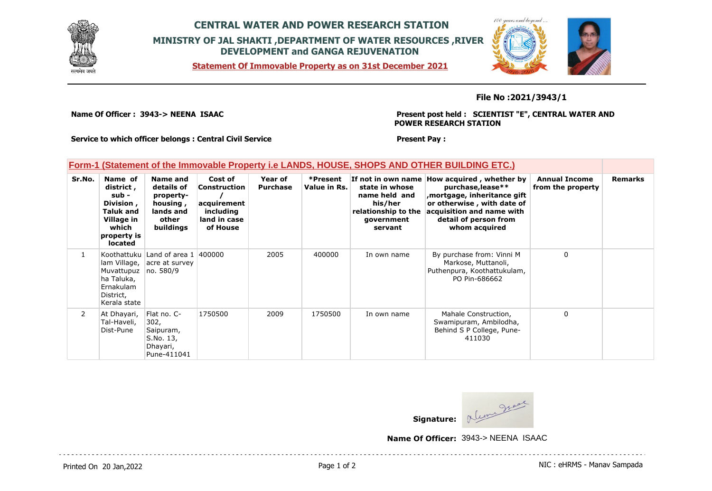

## **CENTRAL WATER AND POWER RESEARCH STATION MINISTRY OF JAL SHAKTI ,DEPARTMENT OF WATER RESOURCES ,RIVER DEVELOPMENT and GANGA REJUVENATION**

**Statement Of Immovable Property as on 31st December 2021**



**File No :2021/3943/1**

**Name Of Officer : 3943-> NEENA ISAAC** 

**Present post held : SCIENTIST "E", CENTRAL WATER AND POWER RESEARCH STATION**

**Service to which officer belongs : Central Civil Service**

#### **Present Pay :**

### **Form-1 (Statement of the Immovable Property i.e LANDS, HOUSE, SHOPS AND OTHER BUILDING ETC.)**

| Sr.No. | Name of<br>district,<br>sub -<br>Division,<br>Taluk and<br>Village in<br>which<br>property is<br><b>located</b> | Name and<br>details of<br>property-<br>housing,<br>lands and<br>other<br>buildings | Cost of<br>Construction<br>acquirement<br>including<br>land in case<br>of House | Year of<br><b>Purchase</b> | *Present<br>Value in Rs. | state in whose<br>name held and<br>his/her<br>relationship to the<br>government<br>servant | If not in own name How acquired, whether by<br>purchase, lease**<br>, mortgage, inheritance gift<br>or otherwise, with date of<br>acquisition and name with<br>detail of person from<br>whom acquired | <b>Annual Income</b><br>from the property | <b>Remarks</b> |
|--------|-----------------------------------------------------------------------------------------------------------------|------------------------------------------------------------------------------------|---------------------------------------------------------------------------------|----------------------------|--------------------------|--------------------------------------------------------------------------------------------|-------------------------------------------------------------------------------------------------------------------------------------------------------------------------------------------------------|-------------------------------------------|----------------|
|        | lam Village,<br>Muvattupuz<br>ha Taluka,<br>Ernakulam<br>District,<br>Kerala state                              | Koothattuku Land of area 1 400000<br>acre at survey<br>no. 580/9                   |                                                                                 | 2005                       | 400000                   | In own name                                                                                | By purchase from: Vinni M<br>Markose, Muttanoli,<br>Puthenpura, Koothattukulam,<br>PO Pin-686662                                                                                                      | $\mathbf 0$                               |                |
| 2      | At Dhayari,<br>Tal-Haveli,<br>Dist-Pune                                                                         | Flat no. C-<br>302,<br>Saipuram,<br>S.No. 13,<br>Dhayari,<br>Pune-411041           | 1750500                                                                         | 2009                       | 1750500                  | In own name                                                                                | Mahale Construction,<br>Swamipuram, Ambilodha,<br>Behind S P College, Pune-<br>411030                                                                                                                 | $\Omega$                                  |                |

Signature: <u>Municipal</u>

**Name Of Officer:** 3943-> NEENA ISAAC